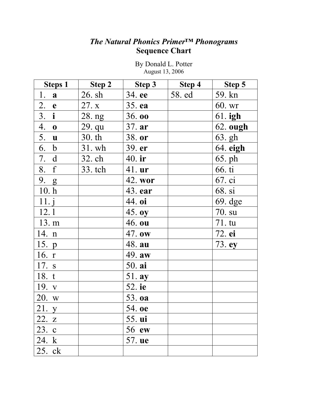# *The Natural Phonics Primer***™** *Phonograms* **Sequence Chart**

| <b>Steps 1</b>    | Step 2  | Step 3   | Step 4 | Step 5          |  |
|-------------------|---------|----------|--------|-----------------|--|
| 1.<br>a           | 26. sh  | 34. ee   | 58. ed | 59. kn          |  |
| 2. e              | 27. x   | 35. ea   |        | 60. wr          |  |
| 3. i              | 28. ng  | 36.00    |        | $61$ . igh      |  |
| $\overline{4.}$ 0 | 29. qu  | 37. ar   |        | <b>62.</b> ough |  |
| 5. <b>u</b>       | 30.th   | 38. or   |        | 63. gh          |  |
| 6. b              | 31. wh  | 39. er   |        | 64. eigh        |  |
| 7. d              | 32. ch  | $40.$ ir |        | 65. ph          |  |
| 8. f              | 33. tch | 41. ur   |        | 66. ti          |  |
| 9. g              |         | 42. wor  |        | 67. ci          |  |
| 10.h              |         | 43. ear  |        | 68. si          |  |
| 11. j             |         | 44. oi   |        | $69.$ dge       |  |
| 12.1              |         | 45. oy   |        | 70. su          |  |
| 13. m             |         | 46. ou   |        | $71. \text{tu}$ |  |
| 14. n             |         | 47. ow   |        | 72. ei          |  |
| 15. p             |         | 48. au   |        | 73. ey          |  |
| 16. $r$           |         | 49. aw   |        |                 |  |
| 17. s             |         | 50. ai   |        |                 |  |
| 18. t             |         | 51. ay   |        |                 |  |
| 19. v             |         | 52. ie   |        |                 |  |
| 20. w             |         | 53. oa   |        |                 |  |
| 21. y             |         | 54. oe   |        |                 |  |
| 22. z             |         | 55. ui   |        |                 |  |
| 23. c             |         | 56 ew    |        |                 |  |
| 24. k             |         | 57. ue   |        |                 |  |
| 25. ck            |         |          |        |                 |  |

By Donald L. Potter August 13, 2006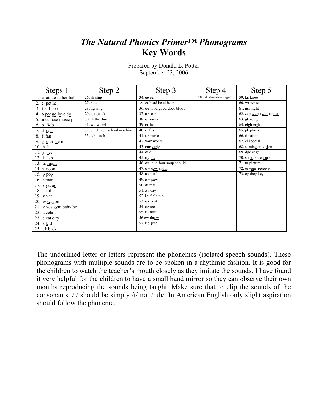# *The Natural Phonics Primer***™** *Phonograms* **Key Words**

| Steps 1                        | Step 2                       | Step 3                       | Step 4                     | Step 5                        |  |
|--------------------------------|------------------------------|------------------------------|----------------------------|-------------------------------|--|
| l. <b>a</b> at ate father ball | $26. sh$ ship                | 34. ee eel                   | 58. ed added sobbed mapped | 59. kn knee                   |  |
| 2. $e$ pet he                  | 27. x ax                     | 35. ea bead head bear        |                            | $60.$ wr $w$ rite             |  |
| 3. i it I taxi                 | $28.$ ng sing                | 36. 00 food good door blood  |                            | $61$ . igh light              |  |
| 4. <b>o</b> pot go love do     | 29. qu quack                 | 37. $ar$ car                 |                            | 62. ough ought though through |  |
| 5. u cut use music put         | 30. th the thin              | 38. or order                 |                            | 63. gh rough                  |  |
| 6. b Bob                       | 31. wh wheel                 | 39. er her                   |                            | 64. eigh eight                |  |
| 7. d dad                       | 32. ch church school machine | 40. ir first                 |                            | 65. ph phone                  |  |
| 8. f fan                       | 33. tch catch                | 41. ur nurse                 |                            | 66. ti nation                 |  |
| 9. g $g$ um gem                |                              | 42. wor works                |                            | 67. ci special                |  |
| 10. h hat                      |                              | 43. ear early                |                            | 68. si mission vision         |  |
| 11. $i$<br>jet                 |                              | 44. oi oil                   |                            | 69. dge edge                  |  |
| 12. $1 \; \text{lap}$          |                              | 45. oy toy                   |                            | 70. su sure treasure          |  |
| 13. m mom                      |                              | 46. ou loud four soup should |                            | 71. tu picture                |  |
| 14. n <u>noon</u>              |                              | 47. ow cow snow              |                            | 72. ei vein receive           |  |
| 15. p pop                      |                              | 48. au haul                  |                            | 73. ey they key               |  |
| 16. r roar                     |                              | 49. aw paw                   |                            |                               |  |
| 17. s sat as                   |                              | 50. ai mail                  |                            |                               |  |
| 18. t tot                      |                              | 51. ay day                   |                            |                               |  |
| 19. v van                      |                              | 52. ie field pie             |                            |                               |  |
| 20. w $\underline{w}$ agon     |                              | 53. oa boat                  |                            |                               |  |
| 21. y $yes gym baby by$        |                              | 54. oe toe                   |                            |                               |  |
| 22. z $\mathbf{z}$ ebra        |                              | 55. ui fruit                 |                            |                               |  |
| 23. c cat city                 |                              | 56 ew threw                  |                            |                               |  |
| 24. k kid                      |                              | 57. ue glue                  |                            |                               |  |
| 25. ck back                    |                              |                              |                            |                               |  |

Prepared by Donald L. Potter September 23, 2006

The underlined letter or letters represent the phonemes (isolated speech sounds). These phonograms with multiple sounds are to be spoken in a rhythmic fashion. It is good for the children to watch the teacher's mouth closely as they imitate the sounds. I have found it very helpful for the children to have a small hand mirror so they can observe their own mouths reproducing the sounds being taught. Make sure that to clip the sounds of the consonants: /t/ should be simply /t/ not /tuh/. In American English only slight aspiration should follow the phoneme.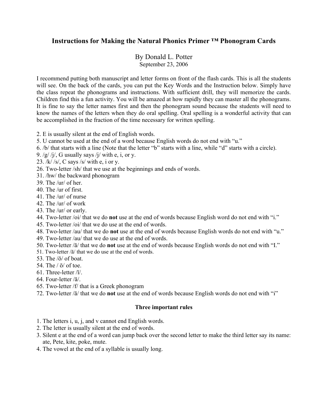## **Instructions for Making the Natural Phonics Primer ™ Phonogram Cards**

By Donald L. Potter September 23, 2006

I recommend putting both manuscript and letter forms on front of the flash cards. This is all the students will see. On the back of the cards, you can put the Key Words and the Instruction below. Simply have the class repeat the phonograms and instructions. With sufficient drill, they will memorize the cards. Children find this a fun activity. You will be amazed at how rapidly they can master all the phonograms. It is fine to say the letter names first and then the phonogram sound because the students will need to know the names of the letters when they do oral spelling. Oral spelling is a wonderful activity that can be accomplished in the fraction of the time necessary for written spelling.

- 2. E is usually silent at the end of English words.
- 5. U cannot be used at the end of a word because English words do not end with "u."
- 6. /b/ that starts with a line (Note that the letter "b" starts with a line, while "d" starts with a circle).
- 9. /g/ /j/, G usually says /j/ with e, i, or y.
- 23. /k/ /s/, C says /s/ with e, i or y.
- 26. Two-letter /sh/ that we use at the beginnings and ends of words.
- 31. /hw/ the backward phonogram
- 39. The /ur/ of her.
- 40. The /ur of first.
- 41. The /ur/ of nurse
- 42. The /ur/ of work
- 43. The /ur/ or early.
- 44. Two-letter /oi/ that we do **not** use at the end of words because English word do not end with "i."
- 45. Two-letter /oi/ that we do use at the end of words.
- 48. Two-letter /au/ that we do **not** use at the end of words because English words do not end with "u."
- 49. Two-letter /au/ that we do use at the end of words.
- 50. Two-letter /ā/ that we do **not** use at the end of words because English words do not end with "I."
- 51. Two-letter /ā/ that we do use at the end of words.
- 53. The  $\sqrt{5}$  of boat.
- 54. The  $/\bar{o}/$  of toe.
- 61. Three-letter /ī/.
- 64. Four-letter /ā/.
- 65. Two-letter /f/ that is a Greek phonogram
- 72. Two-letter /ā/ that we do **not** use at the end of words because English words do not end with "i"

#### **Three important rules**

- 1. The letters i, u, j, and v cannot end English words.
- 2. The letter is usually silent at the end of words.
- 3. Silent e at the end of a word can jump back over the second letter to make the third letter say its name: ate, Pete, kite, poke, mute.
- 4. The vowel at the end of a syllable is usually long.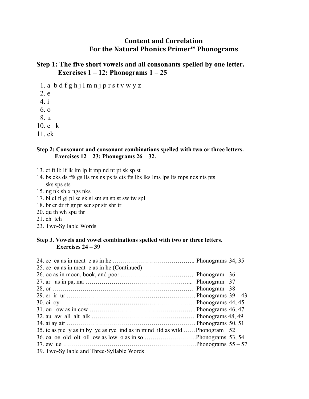## **Content and Correlation For the Natural Phonics Primer™ Phonograms**

## **Step 1: The five short vowels and all consonants spelled by one letter. Exercises 1 – 12: Phonograms 1 – 25**

- 1. a b d f g h j l m n j p r s t v w y z
- 2. e

 4. i 6. o

8. u

- 
- 10. c k
- 11. ck

#### **Step 2: Consonant and consonant combinations spelled with two or three letters. Exercises 12 – 23: Phonograms 26 – 32.**

- 13. ct ft lb lf lk lm lp lt mp nd nt pt sk sp st
- 14. bs cks ds ffs gs lls ms ns ps ts cts fts lbs lks lms lps lts mps nds nts pts sks sps sts
- 15. ng nk sh x ngs nks
- 17. bl cl fl gl pl sc sk sl sm sn sp st sw tw spl
- 18. br cr dr fr gr pr scr spr str shr tr
- 20. qu th wh spu thr
- 21. ch tch
- 23. Two-Syllable Words

#### **Step 3. Vowels and vowel combinations spelled with two or three letters. Exercises 24 – 39**

| 25. ee ea as in meat e as in he (Continued)                                 |  |
|-----------------------------------------------------------------------------|--|
|                                                                             |  |
|                                                                             |  |
|                                                                             |  |
|                                                                             |  |
|                                                                             |  |
|                                                                             |  |
|                                                                             |  |
|                                                                             |  |
| 35. ie as pie y as in by ye as rye ind as in mind ild as wild  Phonogram 52 |  |
|                                                                             |  |
|                                                                             |  |
| 39. Two-Syllable and Three-Syllable Words                                   |  |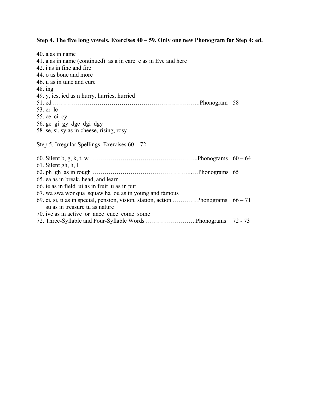## **Step 4. The five long vowels. Exercises 40 – 59. Only one new Phonogram for Step 4: ed.**

| 40. a as in name                                                                    |  |
|-------------------------------------------------------------------------------------|--|
| 41. a as in name (continued) as a in care e as in Eve and here                      |  |
| 42. i as in fine and fire                                                           |  |
| 44. o as bone and more                                                              |  |
| 46. u as in tune and cure                                                           |  |
| $48.$ ing                                                                           |  |
| 49. y, ies, ied as n hurry, hurries, hurried                                        |  |
|                                                                                     |  |
| 53. er le                                                                           |  |
| 55. ce ci cy                                                                        |  |
| 56. ge gi gy dge dgi dgy                                                            |  |
| 58. se, si, sy as in cheese, rising, rosy                                           |  |
|                                                                                     |  |
| Step 5. Irregular Spellings. Exercises $60 - 72$                                    |  |
|                                                                                     |  |
|                                                                                     |  |
| 61. Silent gh, h, l                                                                 |  |
|                                                                                     |  |
| 65. ea as in break, head, and learn                                                 |  |
| 66. ie as in field ui as in fruit u as in put                                       |  |
| 67. wa swa wor qua squaw ha ou as in young and famous                               |  |
| 69. ci, si, ti as in special, pension, vision, station, action Phonograms $66 - 71$ |  |
| su as in treasure tu as nature                                                      |  |
| 70. ive as in active or ance ence come some                                         |  |
| 72. Three-Syllable and Four-Syllable Words Phonograms 72 - 73                       |  |
|                                                                                     |  |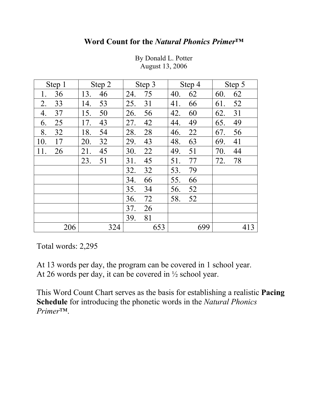## **Word Count for the** *Natural Phonics Primer***™**

| Step 1 |     |     | Step 2 | Step 3 |     | Step 4 |     | Step 5 |     |
|--------|-----|-----|--------|--------|-----|--------|-----|--------|-----|
| 1.     | 36  | 13. | 46     | 24.    | 75  | 40.    | 62  | 60.    | 62  |
| 2.     | 33  | 14. | 53     | 25.    | 31  | 41.    | 66  | 61.    | 52  |
| 4.     | 37  | 15. | 50     | 26.    | 56  | 42.    | 60  | 62.    | 31  |
| 6.     | 25  | 17. | 43     | 27.    | 42  | 44.    | 49  | 65.    | 49  |
| 8.     | 32  | 18. | 54     | 28.    | 28  | 46.    | 22  | 67.    | 56  |
| 10.    | 17  | 20. | 32     | 29.    | 43  | 48.    | 63  | 69.    | 41  |
| 11.    | 26  | 21. | 45     | 30.    | 22  | 49.    | 51  | 70.    | 44  |
|        |     | 23. | 51     | 31.    | 45  | 51.    | 77  | 72.    | 78  |
|        |     |     |        | 32.    | 32  | 53.    | 79  |        |     |
|        |     |     |        | 34.    | 66  | 55.    | 66  |        |     |
|        |     |     |        | 35.    | 34  | 56.    | 52  |        |     |
|        |     |     |        | 36.    | 72  | 58.    | 52  |        |     |
|        |     |     |        | 37.    | 26  |        |     |        |     |
|        |     |     |        | 39.    | 81  |        |     |        |     |
|        | 206 |     | 324    |        | 653 |        | 699 |        | 413 |

By Donald L. Potter August 13, 2006

Total words: 2,295

At 13 words per day, the program can be covered in 1 school year. At 26 words per day, it can be covered in ½ school year.

This Word Count Chart serves as the basis for establishing a realistic **Pacing Schedule** for introducing the phonetic words in the *Natural Phonics Primer*™.